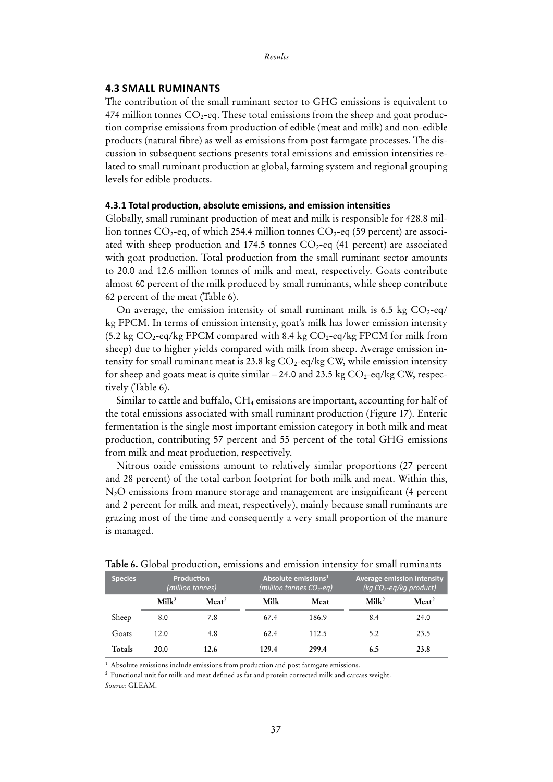### **4.3 Small Ruminants**

The contribution of the small ruminant sector to GHG emissions is equivalent to 474 million tonnes  $CO_2$ -eq. These total emissions from the sheep and goat production comprise emissions from production of edible (meat and milk) and non-edible products (natural fibre) as well as emissions from post farmgate processes. The discussion in subsequent sections presents total emissions and emission intensities related to small ruminant production at global, farming system and regional grouping levels for edible products.

#### **4.3.1 Total production, absolute emissions, and emission intensities**

Globally, small ruminant production of meat and milk is responsible for 428.8 million tonnes  $CO_2$ -eq, of which 254.4 million tonnes  $CO_2$ -eq (59 percent) are associated with sheep production and 174.5 tonnes  $CO<sub>2</sub>$ -eq (41 percent) are associated with goat production. Total production from the small ruminant sector amounts to 20.0 and 12.6 million tonnes of milk and meat, respectively. Goats contribute almost 60 percent of the milk produced by small ruminants, while sheep contribute 62 percent of the meat (Table 6).

On average, the emission intensity of small ruminant milk is 6.5 kg  $CO_2$ -eq/ kg FPCM. In terms of emission intensity, goat's milk has lower emission intensity (5.2 kg  $CO_2$ -eq/kg FPCM compared with 8.4 kg  $CO_2$ -eq/kg FPCM for milk from sheep) due to higher yields compared with milk from sheep. Average emission intensity for small ruminant meat is 23.8 kg  $CO_2$ -eq/kg CW, while emission intensity for sheep and goats meat is quite similar  $-24.0$  and 23.5 kg  $CO_2$ -eq/kg CW, respectively (Table 6).

Similar to cattle and buffalo,  $CH_4$  emissions are important, accounting for half of the total emissions associated with small ruminant production (Figure 17). Enteric fermentation is the single most important emission category in both milk and meat production, contributing 57 percent and 55 percent of the total GHG emissions from milk and meat production, respectively.

Nitrous oxide emissions amount to relatively similar proportions (27 percent and 28 percent) of the total carbon footprint for both milk and meat. Within this, N2O emissions from manure storage and management are insignificant (4 percent and 2 percent for milk and meat, respectively), mainly because small ruminants are grazing most of the time and consequently a very small proportion of the manure is managed.

| <b>Species</b> | <b>Production</b><br>(million tonnes) |                      |       | Absolute emissions <sup>1</sup><br>(million tonnes $CO_2$ -eg) | <b>Average emission intensity</b><br>(kg $CO_2$ -eg/kg product) |                      |  |
|----------------|---------------------------------------|----------------------|-------|----------------------------------------------------------------|-----------------------------------------------------------------|----------------------|--|
|                | Milk <sup>2</sup>                     | $M$ eat <sup>2</sup> | Milk  | Meat                                                           | Milk <sup>2</sup>                                               | $M$ eat <sup>2</sup> |  |
| Sheep          | 8.0                                   | 7.8                  | 67.4  | 186.9                                                          | 8.4                                                             | 24.0                 |  |
| Goats          | 12.0                                  | 4.8                  | 62.4  | 112.5                                                          | 5.2                                                             | 23.5                 |  |
| Totals         | 20.0                                  | 12.6                 | 129.4 | 299.4                                                          | 6.5                                                             | 23.8                 |  |

**Table 6.** Global production, emissions and emission intensity for small ruminants

<sup>1</sup> Absolute emissions include emissions from production and post farmgate emissions.

<sup>2</sup> Functional unit for milk and meat defined as fat and protein corrected milk and carcass weight.

*Source:* GLEAM.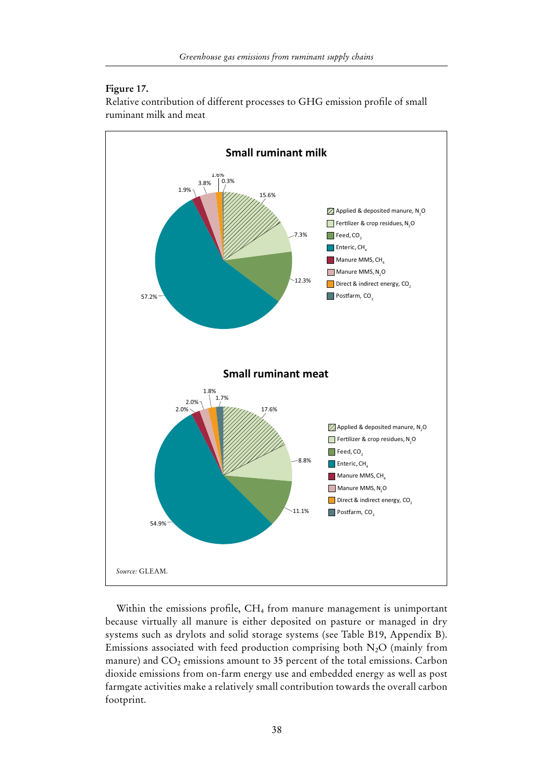## **Figure 17.**

Relative contribution of different processes to GHG emission profile of small ruminant milk and meat



Within the emissions profile, CH<sub>4</sub> from manure management is unimportant because virtually all manure is either deposited on pasture or managed in dry systems such as drylots and solid storage systems (see Table B19, Appendix B). Emissions associated with feed production comprising both  $N_2O$  (mainly from manure) and  $CO<sub>2</sub>$  emissions amount to 35 percent of the total emissions. Carbon dioxide emissions from on-farm energy use and embedded energy as well as post farmgate activities make a relatively small contribution towards the overall carbon footprint.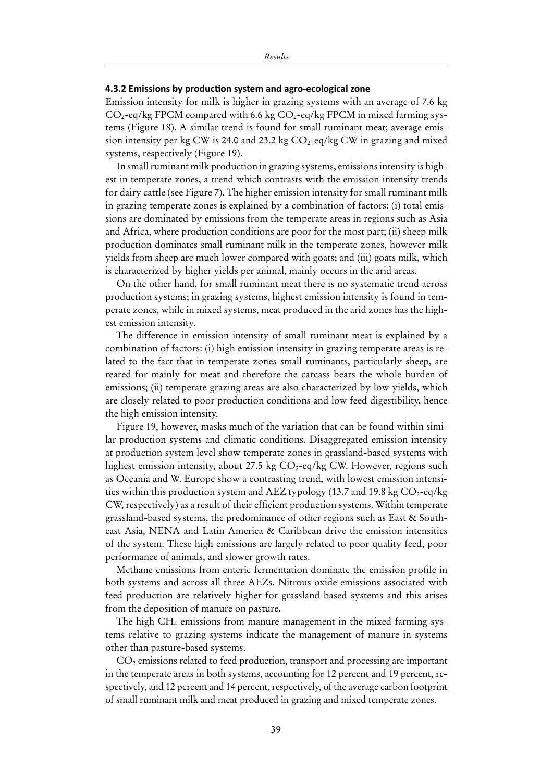#### **4.3.2 Emissions by production system and agro-ecological zone**

Emission intensity for milk is higher in grazing systems with an average of 7.6 kg  $CO_2$ -eq/kg FPCM compared with 6.6 kg  $CO_2$ -eq/kg FPCM in mixed farming systems (Figure 18). A similar trend is found for small ruminant meat; average emission intensity per kg CW is 24.0 and 23.2 kg  $CO_2$ -eq/kg CW in grazing and mixed systems, respectively (Figure 19).

In small ruminant milk production in grazing systems, emissions intensity is highest in temperate zones, a trend which contrasts with the emission intensity trends for dairy cattle (see Figure 7). The higher emission intensity for small ruminant milk in grazing temperate zones is explained by a combination of factors: (i) total emissions are dominated by emissions from the temperate areas in regions such as Asia and Africa, where production conditions are poor for the most part; (ii) sheep milk production dominates small ruminant milk in the temperate zones, however milk yields from sheep are much lower compared with goats; and (iii) goats milk, which is characterized by higher yields per animal, mainly occurs in the arid areas.

On the other hand, for small ruminant meat there is no systematic trend across production systems; in grazing systems, highest emission intensity is found in temperate zones, while in mixed systems, meat produced in the arid zones has the highest emission intensity.

The difference in emission intensity of small ruminant meat is explained by a combination of factors: (i) high emission intensity in grazing temperate areas is related to the fact that in temperate zones small ruminants, particularly sheep, are reared for mainly for meat and therefore the carcass bears the whole burden of emissions; (ii) temperate grazing areas are also characterized by low yields, which are closely related to poor production conditions and low feed digestibility, hence the high emission intensity.

Figure 19, however, masks much of the variation that can be found within similar production systems and climatic conditions. Disaggregated emission intensity at production system level show temperate zones in grassland-based systems with highest emission intensity, about 27.5 kg  $CO_2$ -eq/kg CW. However, regions such as Oceania and W. Europe show a contrasting trend, with lowest emission intensities within this production system and AEZ typology (13.7 and 19.8 kg  $CO_2$ -eq/kg CW, respectively) as a result of their efficient production systems. Within temperate grassland-based systems, the predominance of other regions such as East & Southeast Asia, NENA and Latin America & Caribbean drive the emission intensities of the system. These high emissions are largely related to poor quality feed, poor performance of animals, and slower growth rates.

Methane emissions from enteric fermentation dominate the emission profile in both systems and across all three AEZs. Nitrous oxide emissions associated with feed production are relatively higher for grassland-based systems and this arises from the deposition of manure on pasture.

The high CH4 emissions from manure management in the mixed farming systems relative to grazing systems indicate the management of manure in systems other than pasture-based systems.

CO2 emissions related to feed production, transport and processing are important in the temperate areas in both systems, accounting for 12 percent and 19 percent, respectively, and 12 percent and 14 percent, respectively, of the average carbon footprint of small ruminant milk and meat produced in grazing and mixed temperate zones.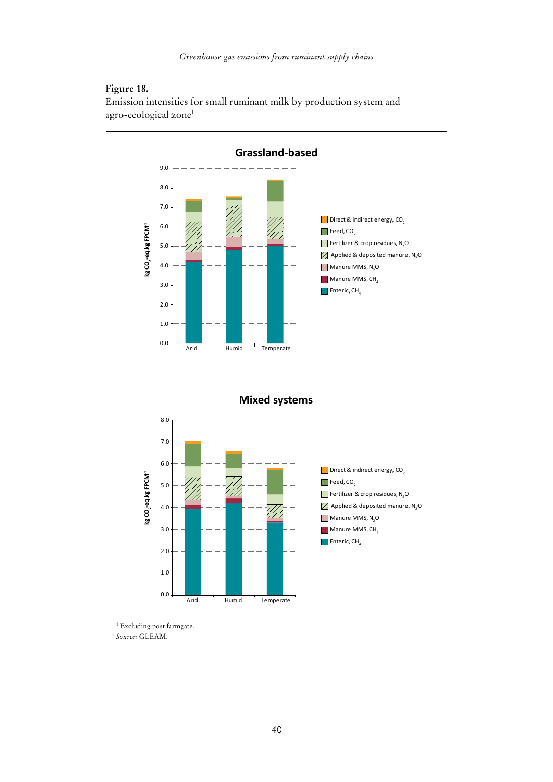# **Figure 18.**

Emission intensities for small ruminant milk by production system and agro-ecological zone1

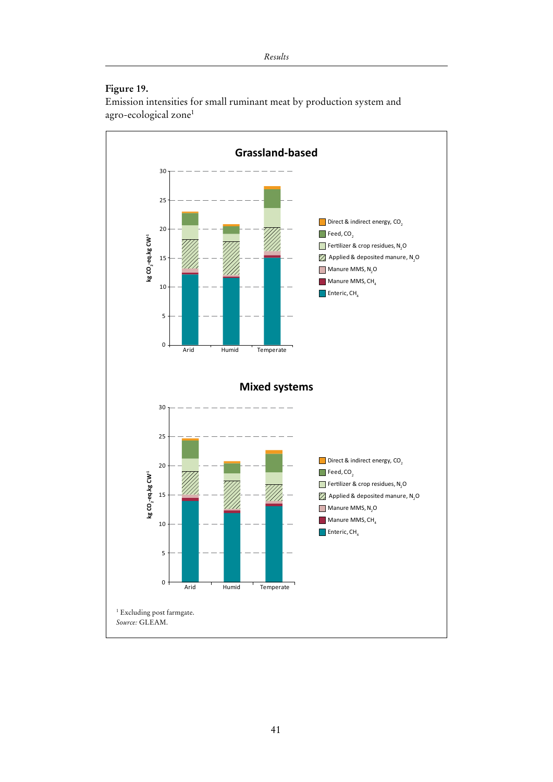# **Figure 19.**

Emission intensities for small ruminant meat by production system and agro-ecological zone1

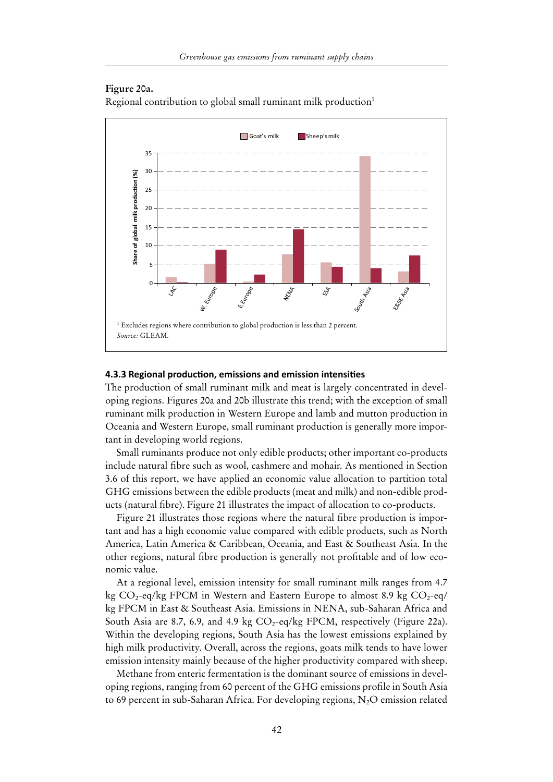### **Figure 20a.**

Regional contribution to global small ruminant milk production<sup>1</sup>



### **4.3.3 Regional production, emissions and emission intensities**

The production of small ruminant milk and meat is largely concentrated in developing regions. Figures 20a and 20b illustrate this trend; with the exception of small ruminant milk production in Western Europe and lamb and mutton production in Oceania and Western Europe, small ruminant production is generally more important in developing world regions.

Small ruminants produce not only edible products; other important co-products include natural fibre such as wool, cashmere and mohair. As mentioned in Section 3.6 of this report, we have applied an economic value allocation to partition total GHG emissions between the edible products (meat and milk) and non-edible products (natural fibre). Figure 21 illustrates the impact of allocation to co-products.

Figure 21 illustrates those regions where the natural fibre production is important and has a high economic value compared with edible products, such as North America, Latin America & Caribbean, Oceania, and East & Southeast Asia. In the other regions, natural fibre production is generally not profitable and of low economic value.

At a regional level, emission intensity for small ruminant milk ranges from 4.7 kg  $CO_2$ -eq/kg FPCM in Western and Eastern Europe to almost 8.9 kg  $CO_2$ -eq/ kg FPCM in East & Southeast Asia. Emissions in NENA, sub-Saharan Africa and South Asia are 8.7, 6.9, and 4.9 kg  $CO_2$ -eq/kg FPCM, respectively (Figure 22a). Within the developing regions, South Asia has the lowest emissions explained by high milk productivity. Overall, across the regions, goats milk tends to have lower emission intensity mainly because of the higher productivity compared with sheep.

Methane from enteric fermentation is the dominant source of emissions in developing regions, ranging from 60 percent of the GHG emissions profile in South Asia to 69 percent in sub-Saharan Africa. For developing regions,  $N_2O$  emission related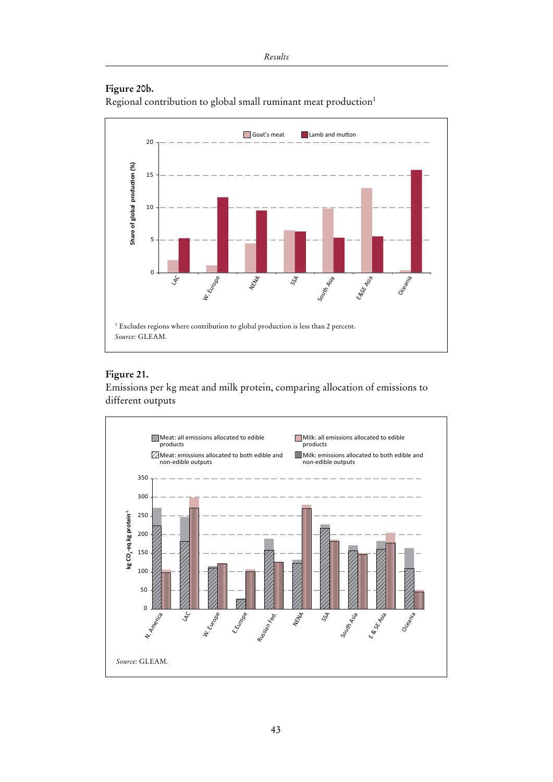# **Figure 20b.**

Regional contribution to global small ruminant meat production1



# **Figure 21.**

Emissions per kg meat and milk protein, comparing allocation of emissions to different outputs

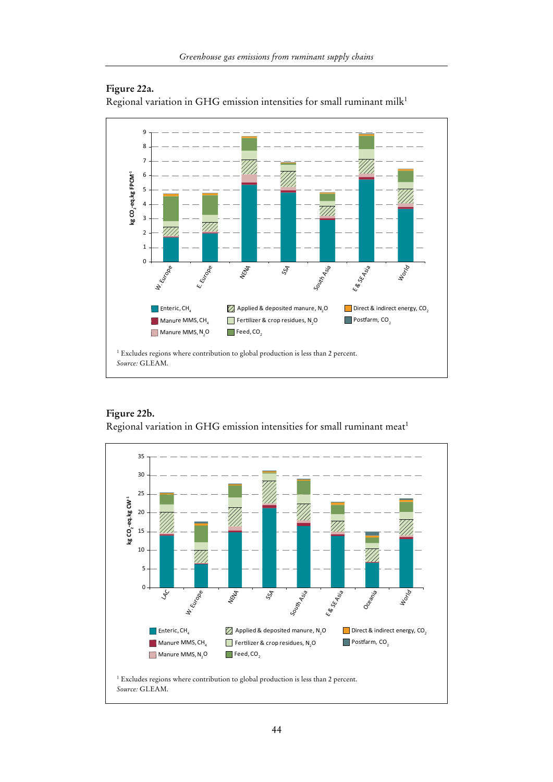

### **Figure 22a.**

Regional variation in GHG emission intensities for small ruminant milk<sup>1</sup>

**Figure 22b.** Regional variation in GHG emission intensities for small ruminant meat<sup>1</sup>

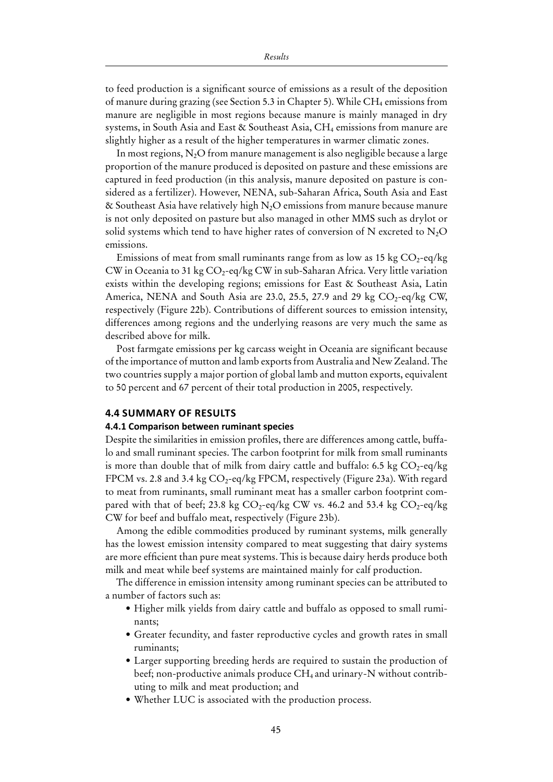to feed production is a significant source of emissions as a result of the deposition of manure during grazing (see Section 5.3 in Chapter 5). While CH<sub>4</sub> emissions from manure are negligible in most regions because manure is mainly managed in dry systems, in South Asia and East & Southeast Asia,  $CH_4$  emissions from manure are slightly higher as a result of the higher temperatures in warmer climatic zones.

In most regions,  $N_2O$  from manure management is also negligible because a large proportion of the manure produced is deposited on pasture and these emissions are captured in feed production (in this analysis, manure deposited on pasture is considered as a fertilizer). However, NENA, sub-Saharan Africa, South Asia and East & Southeast Asia have relatively high  $N_2O$  emissions from manure because manure is not only deposited on pasture but also managed in other MMS such as drylot or solid systems which tend to have higher rates of conversion of N excreted to  $N<sub>2</sub>O$ emissions.

Emissions of meat from small ruminants range from as low as  $15 \text{ kg CO}_2$ -eq/kg CW in Oceania to 31 kg  $CO_2$ -eq/kg CW in sub-Saharan Africa. Very little variation exists within the developing regions; emissions for East & Southeast Asia, Latin America, NENA and South Asia are 23.0, 25.5, 27.9 and 29 kg  $CO<sub>2</sub>$ -eq/kg CW, respectively (Figure 22b). Contributions of different sources to emission intensity, differences among regions and the underlying reasons are very much the same as described above for milk.

Post farmgate emissions per kg carcass weight in Oceania are significant because of the importance of mutton and lamb exports from Australia and New Zealand. The two countries supply a major portion of global lamb and mutton exports, equivalent to 50 percent and 67 percent of their total production in 2005, respectively.

### **4.4 Summary of results**

#### **4.4.1 Comparison between ruminant species**

Despite the similarities in emission profiles, there are differences among cattle, buffalo and small ruminant species. The carbon footprint for milk from small ruminants is more than double that of milk from dairy cattle and buffalo: 6.5 kg  $CO_2$ -eq/kg FPCM vs. 2.8 and 3.4 kg CO<sub>2</sub>-eq/kg FPCM, respectively (Figure 23a). With regard to meat from ruminants, small ruminant meat has a smaller carbon footprint compared with that of beef; 23.8 kg  $CO_2$ -eq/kg CW vs. 46.2 and 53.4 kg  $CO_2$ -eq/kg CW for beef and buffalo meat, respectively (Figure 23b).

Among the edible commodities produced by ruminant systems, milk generally has the lowest emission intensity compared to meat suggesting that dairy systems are more efficient than pure meat systems. This is because dairy herds produce both milk and meat while beef systems are maintained mainly for calf production.

The difference in emission intensity among ruminant species can be attributed to a number of factors such as:

- Higher milk yields from dairy cattle and buffalo as opposed to small ruminants;
- Greater fecundity, and faster reproductive cycles and growth rates in small ruminants;
- Larger supporting breeding herds are required to sustain the production of beef; non-productive animals produce  $CH_4$  and urinary-N without contributing to milk and meat production; and
- Whether LUC is associated with the production process.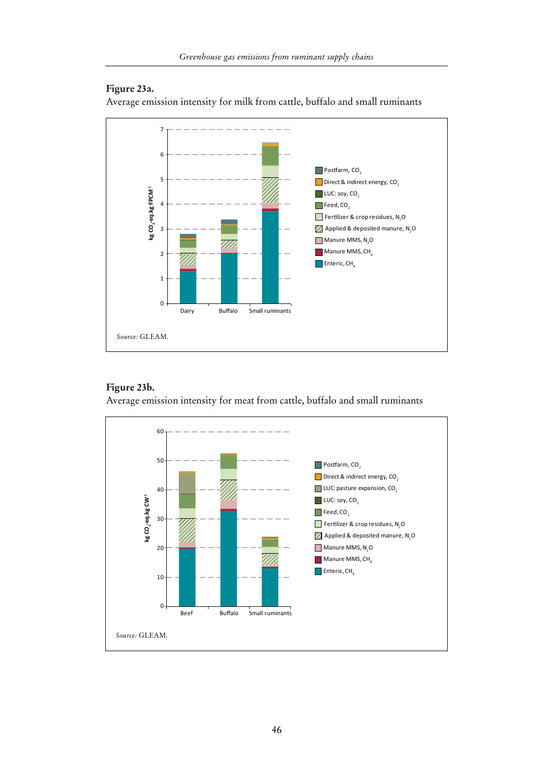# **Figure 23a.**

Average emission intensity for milk from cattle, buffalo and small ruminants



# **Figure 23b.**

Average emission intensity for meat from cattle, buffalo and small ruminants

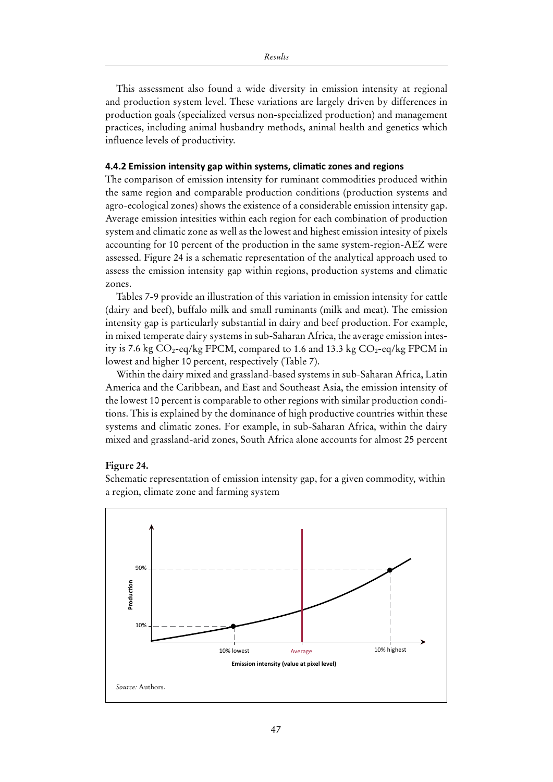This assessment also found a wide diversity in emission intensity at regional and production system level. These variations are largely driven by differences in production goals (specialized versus non-specialized production) and management practices, including animal husbandry methods, animal health and genetics which influence levels of productivity.

### **4.4.2 Emission intensity gap within systems, climatic zones and regions**

The comparison of emission intensity for ruminant commodities produced within the same region and comparable production conditions (production systems and agro-ecological zones) shows the existence of a considerable emission intensity gap. Average emission intesities within each region for each combination of production system and climatic zone as well as the lowest and highest emission intesity of pixels accounting for 10 percent of the production in the same system-region-AEZ were assessed. Figure 24 is a schematic representation of the analytical approach used to assess the emission intensity gap within regions, production systems and climatic zones.

Tables 7-9 provide an illustration of this variation in emission intensity for cattle (dairy and beef), buffalo milk and small ruminants (milk and meat). The emission intensity gap is particularly substantial in dairy and beef production. For example, in mixed temperate dairy systems in sub-Saharan Africa, the average emission intesity is 7.6 kg  $CO_2$ -eq/kg FPCM, compared to 1.6 and 13.3 kg  $CO_2$ -eq/kg FPCM in lowest and higher 10 percent, respectively (Table 7).

Within the dairy mixed and grassland-based systems in sub-Saharan Africa, Latin America and the Caribbean, and East and Southeast Asia, the emission intensity of the lowest 10 percent is comparable to other regions with similar production conditions. This is explained by the dominance of high productive countries within these systems and climatic zones. For example, in sub-Saharan Africa, within the dairy mixed and grassland-arid zones, South Africa alone accounts for almost 25 percent

### **Figure 24.**

Schematic representation of emission intensity gap, for a given commodity, within a region, climate zone and farming system

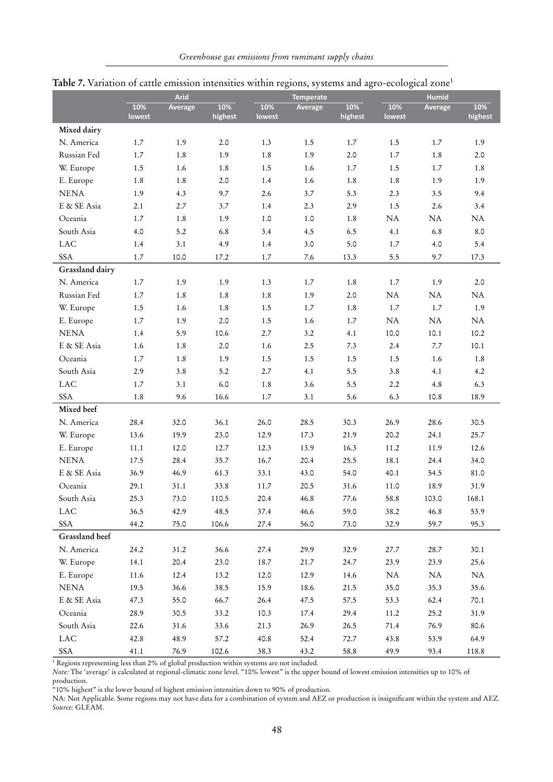|                 |               | <b>Arid</b> |                |               | <b>Temperate</b> |                |               | <b>Humid</b>    |                |  |
|-----------------|---------------|-------------|----------------|---------------|------------------|----------------|---------------|-----------------|----------------|--|
|                 | 10%<br>lowest | Average     | 10%<br>highest | 10%<br>lowest | Average          | 10%<br>highest | 10%<br>lowest | Average         | 10%<br>highest |  |
| Mixed dairy     |               |             |                |               |                  |                |               |                 |                |  |
| N. America      | 1.7           | 1.9         | 2.0            | 1.3           | 1.5              | 1.7            | 1.5           | 1.7             | 1.9            |  |
| Russian Fed     | 1.7           | 1.8         | 1.9            | 1.8           | 1.9              | 2.0            | 1.7           | 1.8             | 2.0            |  |
| W. Europe       | 1.5           | 1.6         | 1.8            | 1.5           | 1.6              | 1.7            | 1.5           | 1.7             | 1.8            |  |
| E. Europe       | 1.8           | 1.8         | 2.0            | 1.4           | 1.6              | 1.8            | 1.8           | 1.9             | 1.9            |  |
| <b>NENA</b>     | 1.9           | 4.3         | 9.7            | 2.6           | 3.7              | 5.3            | 2.3           | 3.5             | 9.4            |  |
| E & SE Asia     | 2.1           | 2.7         | 3.7            | 1.4           | 2.3              | 2.9            | 1.5           | 2.6             | 3.4            |  |
| Oceania         | 1.7           | 1.8         | 1.9            | 1.0           | 1.0              | 1.8            | $\rm NA$      | $\rm NA$        | NA             |  |
| South Asia      | 4.0           | 5.2         | 6.8            | 3.4           | 4.5              | 6.5            | 4.1           | 6.8             | $8.0\,$        |  |
| <b>LAC</b>      | 1.4           | 3.1         | 4.9            | 1.4           | 3.0              | 5.0            | 1.7           | 4.0             | 5.4            |  |
| <b>SSA</b>      |               |             |                |               |                  |                |               |                 |                |  |
| Grassland dairy | 1.7           | 10.0        | 17.2           | 1.7           | 7.6              | 13.3           | 5.5           | 9.7             | 17.3           |  |
| N. America      | 1.7           |             |                |               |                  | 1.8            |               | 1.9             | 2.0            |  |
| Russian Fed     |               | 1.9         | 1.9            | 1.3           | 1.7              |                | 1.7           |                 |                |  |
|                 | 1.7           | 1.8         | 1.8            | 1.8<br>1.5    | 1.9              | 2.0            | NA            | $\rm NA$<br>1.7 | NA             |  |
| W. Europe       | 1.5           | 1.6         | 1.8            |               | 1.7              | 1.8            | 1.7           |                 | 1.9            |  |
| E. Europe       | 1.7           | 1.9<br>5.9  | 2.0            | 1.5           | 1.6              | 1.7            | $\rm NA$      | $\rm NA$        | $\rm NA$       |  |
| <b>NENA</b>     | 1.4           |             | 10.6           | 2.7           | 3.2              | 4.1            | 10.0          | 10.1            | 10.2           |  |
| E & SE Asia     | 1.6           | 1.8         | 2.0            | 1.6           | 2.5              | 7.3            | 2.4           | 7.7             | 10.1           |  |
| Oceania         | 1.7           | 1.8         | 1.9            | 1.5           | 1.5              | 1.5            | 1.5           | 1.6             | 1.8            |  |
| South Asia      | 2.9           | 3.8         | 5.2            | 2.7           | 4.1              | 5.5            | 3.8           | 4.1             | 4.2            |  |
| <b>LAC</b>      | 1.7           | 3.1         | 6.0            | 1.8           | 3.6              | 5.5            | 2.2           | 4.8             | 6.3            |  |
| <b>SSA</b>      | 1.8           | 9.6         | 16.6           | 1.7           | 3.1              | 5.6            | 6.3           | 10.8            | 18.9           |  |
| Mixed beef      |               |             |                |               |                  |                |               |                 |                |  |
| N. America      | 28.4          | 32.0        | 36.1           | 26.0          | 28.5             | 30.3           | 26.9          | 28.6            | 30.5           |  |
| W. Europe       | 13.6          | 19.9        | 23.0           | 12.9          | 17.3             | 21.9           | 20.2          | 24.1            | 25.7           |  |
| E. Europe       | 11.1          | 12.0        | 12.7           | 12.3          | 13.9             | 16.3           | 11.2          | 11.9            | 12.6           |  |
| ${\bf NENA}$    | 17.5          | 28.4        | 35.7           | 16.7          | 20.4             | 25.5           | 18.1          | 24.4            | 34.0           |  |
| E & SE Asia     | 36.9          | 46.9        | 61.3           | 33.1          | 43.0             | 54.0           | 40.1          | 54.5            | 81.0           |  |
| Oceania         | 29.1          | 31.1        | 33.8           | 11.7          | 20.5             | 31.6           | 11.0          | 18.9            | 31.9           |  |
| South Asia      | 25.3          | 73.0        | 110.5          | 20.4          | 46.8             | 77.6           | 58.8          | 103.0           | 168.1          |  |
| LAC             | 36.5          | 42.9        | 48.5           | 37.4          | 46.6             | 59.0           | 38.2          | 46.8            | 53.9           |  |
| SSA             | 44.2          | 75.0        | 106.6          | 27.4          | 56.0             | 73.0           | 32.9          | 59.7            | 95.3           |  |
| Grassland beef  |               |             |                |               |                  |                |               |                 |                |  |
| N. America      | 24.2          | 31.2        | 36.6           | 27.4          | 29.9             | 32.9           | 27.7          | 28.7            | 30.1           |  |
| W. Europe       | 14.1          | 20.4        | 23.0           | 18.7          | 21.7             | 24.7           | 23.9          | 23.9            | 25.6           |  |
| E. Europe       | 11.6          | 12.4        | 13.2           | 12.0          | 12.9             | 14.6           | NA            | $\rm NA$        | NA             |  |
| <b>NENA</b>     | 19.5          | 36.6        | 38.5           | 15.9          | 18.6             | 21.5           | 35.0          | 35.3            | 35.6           |  |
| E & SE Asia     | 47.3          | 55.0        | 66.7           | 26.4          | 47.5             | 57.5           | 53.3          | 62.4            | 70.1           |  |
| Oceania         | 28.9          | 30.5        | 33.2           | 10.3          | 17.4             | 29.4           | 11.2          | 25.2            | 31.9           |  |
| South Asia      | 22.6          | 31.6        | 33.6           | 21.3          | 26.9             | 26.5           | 71.4          | 76.9            | 80.6           |  |
| $_{\rm LAC}$    | 42.8          | 48.9        | 57.2           | 40.8          | 52.4             | 72.7           | 43.8          | 53.9            | 64.9           |  |
| SSA             | 41.1          | 76.9        | 102.6          | 38.3          | 43.2             | 58.8           | 49.9          | 93.4            | 118.8          |  |

# Table 7. Variation of cattle emission intensities within regions, systems and agro-ecological zone<sup>1</sup>

<sup>1</sup> Regions representing less than 2% of global production within systems are not included.

*Note:* The 'average' is calculated at regional-climatic zone level. "10% lowest" is the upper bound of lowest emission intensities up to 10% of production.

"10% highest" is the lower bound of highest emission intensities down to 90% of production.

NA: Not Applicable. Some regions may not have data for a combination of system and AEZ or production is insignificant within the system and AEZ. *Source:* GLEAM.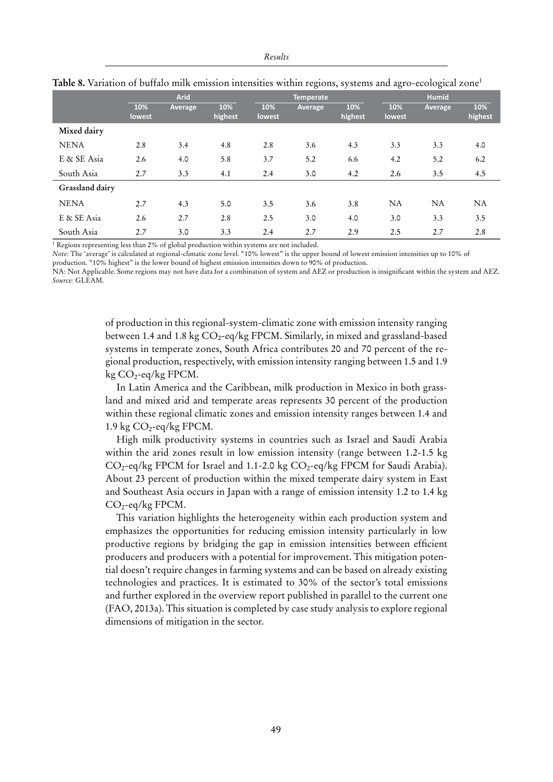|                 | <b>Arid</b>   |         |                |               | <b>Temperate</b> |                |               | <b>Humid</b> |                |  |
|-----------------|---------------|---------|----------------|---------------|------------------|----------------|---------------|--------------|----------------|--|
|                 | 10%<br>lowest | Average | 10%<br>highest | 10%<br>lowest | Average          | 10%<br>highest | 10%<br>lowest | Average      | 10%<br>highest |  |
| Mixed dairy     |               |         |                |               |                  |                |               |              |                |  |
| <b>NENA</b>     | 2.8           | 3.4     | 4.8            | 2.8           | 3.6              | 4.3            | 3.3           | 3.3          | 4.0            |  |
| E & SE Asia     | 2.6           | 4.0     | 5.8            | 3.7           | 5.2              | 6.6            | 4.2           | 5.2          | 6.2            |  |
| South Asia      | 2.7           | 3.3     | 4.1            | 2.4           | 3.0              | 4.2            | 2.6           | 3.5          | 4.5            |  |
| Grassland dairy |               |         |                |               |                  |                |               |              |                |  |
| <b>NENA</b>     | 2.7           | 4.3     | 5.0            | 3.5           | 3.6              | 3.8            | <b>NA</b>     | <b>NA</b>    | <b>NA</b>      |  |
| E & SE Asia     | 2.6           | 2.7     | 2.8            | 2.5           | 3.0              | 4.0            | 3.0           | 3.3          | 3.5            |  |
| South Asia      | 2.7           | 3.0     | 3.3            | 2.4           | 2.7              | 2.9            | 2.5           | 2.7          | 2.8            |  |

|  |  |  |  | Table 8. Variation of buffalo milk emission intensities within regions, systems and agro-ecological zone' |  |
|--|--|--|--|-----------------------------------------------------------------------------------------------------------|--|
|  |  |  |  |                                                                                                           |  |

<sup>1</sup> Regions representing less than 2% of global production within systems are not included.

*Note:* The 'average' is calculated at regional-climatic zone level. "10% lowest" is the upper bound of lowest emission intensities up to 10% of

production. "10% highest" is the lower bound of highest emission intensities down to 90% of production.

NA: Not Applicable. Some regions may not have data for a combination of system and AEZ or production is insignificant within the system and AEZ. *Source:* GLEAM.

> of production in this regional-system-climatic zone with emission intensity ranging between 1.4 and 1.8 kg  $CO_2$ -eq/kg FPCM. Similarly, in mixed and grassland-based systems in temperate zones, South Africa contributes 20 and 70 percent of the regional production, respectively, with emission intensity ranging between 1.5 and 1.9 kg  $CO_2$ -eq/kg FPCM.

> In Latin America and the Caribbean, milk production in Mexico in both grassland and mixed arid and temperate areas represents 30 percent of the production within these regional climatic zones and emission intensity ranges between 1.4 and 1.9 kg  $CO_2$ -eq/kg FPCM.

> High milk productivity systems in countries such as Israel and Saudi Arabia within the arid zones result in low emission intensity (range between 1.2-1.5 kg)  $CO_2$ -eq/kg FPCM for Israel and 1.1-2.0 kg  $CO_2$ -eq/kg FPCM for Saudi Arabia). About 23 percent of production within the mixed temperate dairy system in East and Southeast Asia occurs in Japan with a range of emission intensity 1.2 to 1.4 kg  $CO_2$ -eq/kg FPCM.

> This variation highlights the heterogeneity within each production system and emphasizes the opportunities for reducing emission intensity particularly in low productive regions by bridging the gap in emission intensities between efficient producers and producers with a potential for improvement. This mitigation potential doesn't require changes in farming systems and can be based on already existing technologies and practices. It is estimated to 30% of the sector's total emissions and further explored in the overview report published in parallel to the current one (FAO, 2013a). This situation is completed by case study analysis to explore regional dimensions of mitigation in the sector.